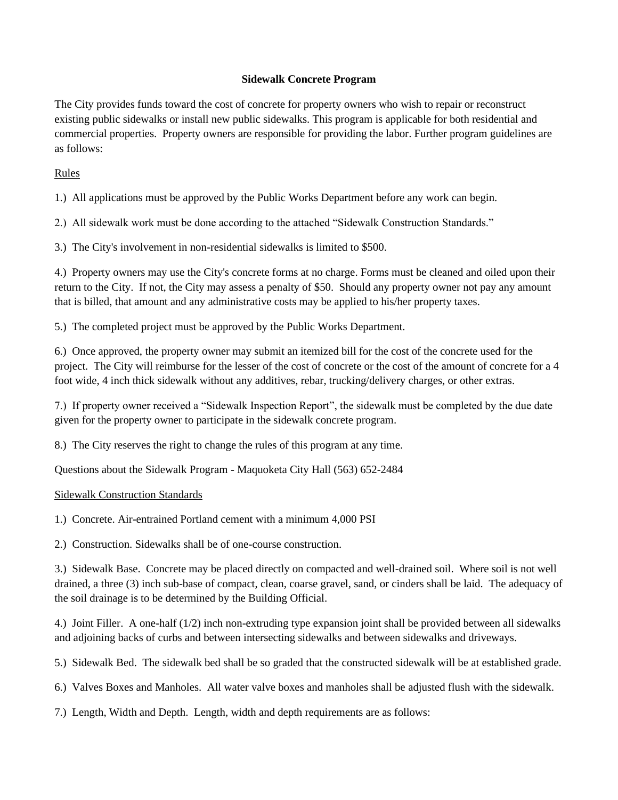## **Sidewalk Concrete Program**

The City provides funds toward the cost of concrete for property owners who wish to repair or reconstruct existing public sidewalks or install new public sidewalks. This program is applicable for both residential and commercial properties. Property owners are responsible for providing the labor. Further program guidelines are as follows:

## Rules

1.) All applications must be approved by the Public Works Department before any work can begin.

2.) All sidewalk work must be done according to the attached "Sidewalk Construction Standards."

3.) The City's involvement in non-residential sidewalks is limited to \$500.

4.) Property owners may use the City's concrete forms at no charge. Forms must be cleaned and oiled upon their return to the City. If not, the City may assess a penalty of \$50. Should any property owner not pay any amount that is billed, that amount and any administrative costs may be applied to his/her property taxes.

5.) The completed project must be approved by the Public Works Department.

6.) Once approved, the property owner may submit an itemized bill for the cost of the concrete used for the project. The City will reimburse for the lesser of the cost of concrete or the cost of the amount of concrete for a 4 foot wide, 4 inch thick sidewalk without any additives, rebar, trucking/delivery charges, or other extras.

7.) If property owner received a "Sidewalk Inspection Report", the sidewalk must be completed by the due date given for the property owner to participate in the sidewalk concrete program.

8.) The City reserves the right to change the rules of this program at any time.

Questions about the Sidewalk Program - Maquoketa City Hall (563) 652-2484

## Sidewalk Construction Standards

1.) Concrete. Air-entrained Portland cement with a minimum 4,000 PSI

2.) Construction. Sidewalks shall be of one-course construction.

3.) Sidewalk Base. Concrete may be placed directly on compacted and well-drained soil. Where soil is not well drained, a three (3) inch sub-base of compact, clean, coarse gravel, sand, or cinders shall be laid. The adequacy of the soil drainage is to be determined by the Building Official.

4.) Joint Filler. A one-half (1/2) inch non-extruding type expansion joint shall be provided between all sidewalks and adjoining backs of curbs and between intersecting sidewalks and between sidewalks and driveways.

5.) Sidewalk Bed. The sidewalk bed shall be so graded that the constructed sidewalk will be at established grade.

6.) Valves Boxes and Manholes. All water valve boxes and manholes shall be adjusted flush with the sidewalk.

7.) Length, Width and Depth. Length, width and depth requirements are as follows: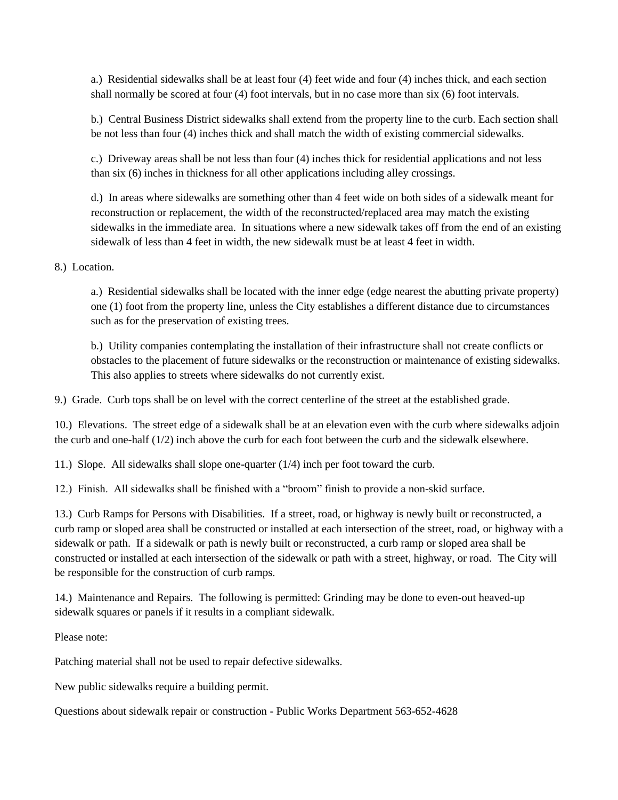a.) Residential sidewalks shall be at least four (4) feet wide and four (4) inches thick, and each section shall normally be scored at four (4) foot intervals, but in no case more than six (6) foot intervals.

b.) Central Business District sidewalks shall extend from the property line to the curb. Each section shall be not less than four (4) inches thick and shall match the width of existing commercial sidewalks.

c.) Driveway areas shall be not less than four (4) inches thick for residential applications and not less than six (6) inches in thickness for all other applications including alley crossings.

d.) In areas where sidewalks are something other than 4 feet wide on both sides of a sidewalk meant for reconstruction or replacement, the width of the reconstructed/replaced area may match the existing sidewalks in the immediate area. In situations where a new sidewalk takes off from the end of an existing sidewalk of less than 4 feet in width, the new sidewalk must be at least 4 feet in width.

8.) Location.

a.) Residential sidewalks shall be located with the inner edge (edge nearest the abutting private property) one (1) foot from the property line, unless the City establishes a different distance due to circumstances such as for the preservation of existing trees.

b.) Utility companies contemplating the installation of their infrastructure shall not create conflicts or obstacles to the placement of future sidewalks or the reconstruction or maintenance of existing sidewalks. This also applies to streets where sidewalks do not currently exist.

9.) Grade. Curb tops shall be on level with the correct centerline of the street at the established grade.

10.) Elevations. The street edge of a sidewalk shall be at an elevation even with the curb where sidewalks adjoin the curb and one-half (1/2) inch above the curb for each foot between the curb and the sidewalk elsewhere.

11.) Slope. All sidewalks shall slope one-quarter (1/4) inch per foot toward the curb.

12.) Finish. All sidewalks shall be finished with a "broom" finish to provide a non-skid surface.

13.) Curb Ramps for Persons with Disabilities. If a street, road, or highway is newly built or reconstructed, a curb ramp or sloped area shall be constructed or installed at each intersection of the street, road, or highway with a sidewalk or path. If a sidewalk or path is newly built or reconstructed, a curb ramp or sloped area shall be constructed or installed at each intersection of the sidewalk or path with a street, highway, or road. The City will be responsible for the construction of curb ramps.

14.) Maintenance and Repairs. The following is permitted: Grinding may be done to even-out heaved-up sidewalk squares or panels if it results in a compliant sidewalk.

Please note:

Patching material shall not be used to repair defective sidewalks.

New public sidewalks require a building permit.

Questions about sidewalk repair or construction - Public Works Department 563-652-4628